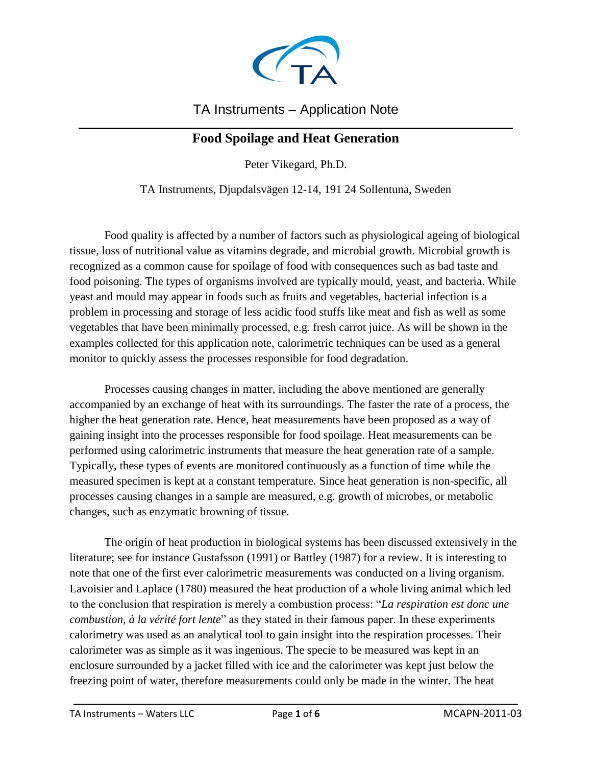

### TA Instruments – Application Note

#### $\mathcal{L}_\text{max}$  and  $\mathcal{L}_\text{max}$  and  $\mathcal{L}_\text{max}$  and  $\mathcal{L}_\text{max}$  and  $\mathcal{L}_\text{max}$  and  $\mathcal{L}_\text{max}$ **Food Spoilage and Heat Generation**

Peter Vikegard, Ph.D.

TA Instruments, Djupdalsvägen 12-14, 191 24 Sollentuna, Sweden

Food quality is affected by a number of factors such as physiological ageing of biological tissue, loss of nutritional value as vitamins degrade, and microbial growth. Microbial growth is recognized as a common cause for spoilage of food with consequences such as bad taste and food poisoning. The types of organisms involved are typically mould, yeast, and bacteria. While yeast and mould may appear in foods such as fruits and vegetables, bacterial infection is a problem in processing and storage of less acidic food stuffs like meat and fish as well as some vegetables that have been minimally processed, e.g. fresh carrot juice. As will be shown in the examples collected for this application note, calorimetric techniques can be used as a general monitor to quickly assess the processes responsible for food degradation.

Processes causing changes in matter, including the above mentioned are generally accompanied by an exchange of heat with its surroundings. The faster the rate of a process, the higher the heat generation rate. Hence, heat measurements have been proposed as a way of gaining insight into the processes responsible for food spoilage. Heat measurements can be performed using calorimetric instruments that measure the heat generation rate of a sample. Typically, these types of events are monitored continuously as a function of time while the measured specimen is kept at a constant temperature. Since heat generation is non-specific, all processes causing changes in a sample are measured, e.g. growth of microbes, or metabolic changes, such as enzymatic browning of tissue.

The origin of heat production in biological systems has been discussed extensively in the literature; see for instance Gustafsson (1991) or Battley (1987) for a review. It is interesting to note that one of the first ever calorimetric measurements was conducted on a living organism. Lavoisier and Laplace (1780) measured the heat production of a whole living animal which led to the conclusion that respiration is merely a combustion process: "*La respiration est donc une combustion, à la vérité fort lente*" as they stated in their famous paper. In these experiments calorimetry was used as an analytical tool to gain insight into the respiration processes. Their calorimeter was as simple as it was ingenious. The specie to be measured was kept in an enclosure surrounded by a jacket filled with ice and the calorimeter was kept just below the freezing point of water, therefore measurements could only be made in the winter. The heat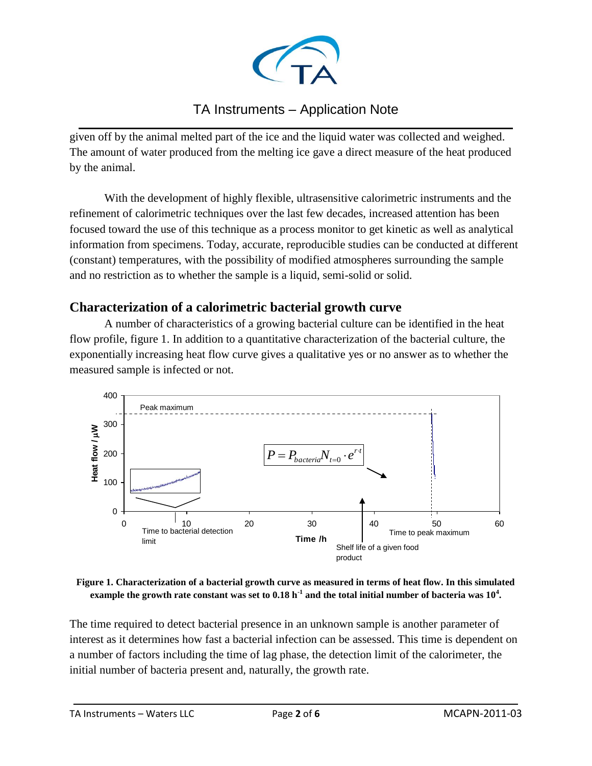

#### TA Instruments – Application Note  $\mathcal{L}_\text{max}$  and  $\mathcal{L}_\text{max}$  and  $\mathcal{L}_\text{max}$  and  $\mathcal{L}_\text{max}$  and  $\mathcal{L}_\text{max}$  and  $\mathcal{L}_\text{max}$

given off by the animal melted part of the ice and the liquid water was collected and weighed. The amount of water produced from the melting ice gave a direct measure of the heat produced by the animal.

With the development of highly flexible, ultrasensitive calorimetric instruments and the refinement of calorimetric techniques over the last few decades, increased attention has been focused toward the use of this technique as a process monitor to get kinetic as well as analytical information from specimens. Today, accurate, reproducible studies can be conducted at different (constant) temperatures, with the possibility of modified atmospheres surrounding the sample and no restriction as to whether the sample is a liquid, semi-solid or solid.

## **Characterization of a calorimetric bacterial growth curve**

A number of characteristics of a growing bacterial culture can be identified in the heat flow profile, figure 1. In addition to a quantitative characterization of the bacterial culture, the exponentially increasing heat flow curve gives a qualitative yes or no answer as to whether the measured sample is infected or not.



**Figure 1. Characterization of a bacterial growth curve as measured in terms of heat flow. In this simulated example the growth rate constant was set to 0.18 h-1 and the total initial number of bacteria was 10<sup>4</sup> .**

The time required to detect bacterial presence in an unknown sample is another parameter of interest as it determines how fast a bacterial infection can be assessed. This time is dependent on a number of factors including the time of lag phase, the detection limit of the calorimeter, the initial number of bacteria present and, naturally, the growth rate.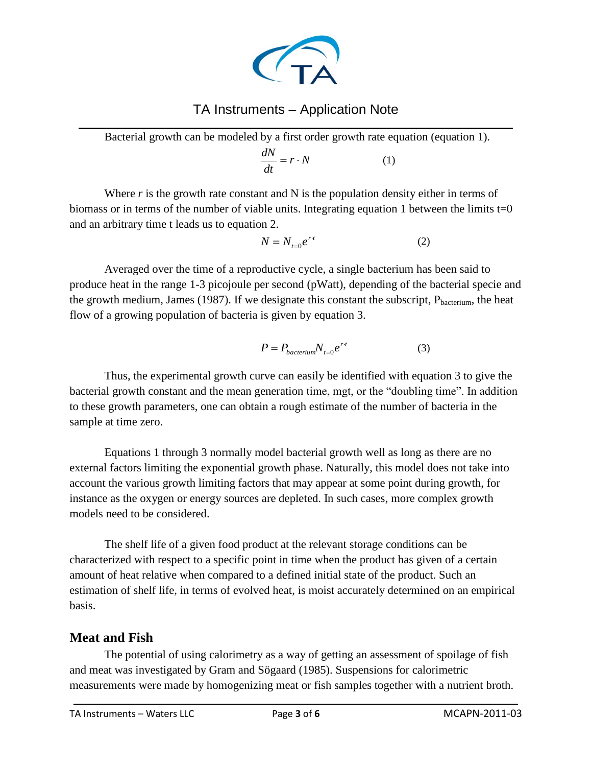

## TA Instruments – Application Note

 $\mathcal{L}_\text{max}$  and  $\mathcal{L}_\text{max}$  and  $\mathcal{L}_\text{max}$  and  $\mathcal{L}_\text{max}$  and  $\mathcal{L}_\text{max}$  and  $\mathcal{L}_\text{max}$ Bacterial growth can be modeled by a first order growth rate equation (equation 1).

$$
\frac{dN}{dt} = r \cdot N \tag{1}
$$

Where *r* is the growth rate constant and N is the population density either in terms of biomass or in terms of the number of viable units. Integrating equation 1 between the limits  $t=0$ and an arbitrary time t leads us to equation 2.

$$
N = N_{t=0}e^{rt} \tag{2}
$$

Averaged over the time of a reproductive cycle, a single bacterium has been said to produce heat in the range 1-3 picojoule per second (pWatt), depending of the bacterial specie and the growth medium, James (1987). If we designate this constant the subscript,  $P_{\text{bacterium}}$ , the heat flow of a growing population of bacteria is given by equation 3.

$$
P = P_{bacterium} N_{t=0} e^{r \cdot t} \tag{3}
$$

Thus, the experimental growth curve can easily be identified with equation 3 to give the bacterial growth constant and the mean generation time, mgt, or the "doubling time". In addition to these growth parameters, one can obtain a rough estimate of the number of bacteria in the sample at time zero.

Equations 1 through 3 normally model bacterial growth well as long as there are no external factors limiting the exponential growth phase. Naturally, this model does not take into account the various growth limiting factors that may appear at some point during growth, for instance as the oxygen or energy sources are depleted. In such cases, more complex growth models need to be considered.

The shelf life of a given food product at the relevant storage conditions can be characterized with respect to a specific point in time when the product has given of a certain amount of heat relative when compared to a defined initial state of the product. Such an estimation of shelf life, in terms of evolved heat, is moist accurately determined on an empirical basis.

#### **Meat and Fish**

The potential of using calorimetry as a way of getting an assessment of spoilage of fish and meat was investigated by Gram and Sögaard (1985). Suspensions for calorimetric measurements were made by homogenizing meat or fish samples together with a nutrient broth.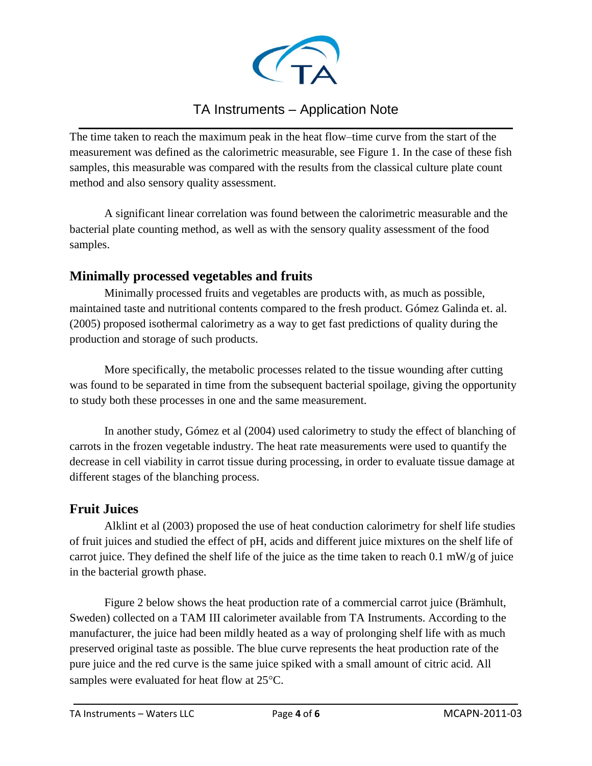

#### TA Instruments – Application Note  $\mathcal{L}_\text{max}$  and  $\mathcal{L}_\text{max}$  and  $\mathcal{L}_\text{max}$  and  $\mathcal{L}_\text{max}$  and  $\mathcal{L}_\text{max}$  and  $\mathcal{L}_\text{max}$

The time taken to reach the maximum peak in the heat flow–time curve from the start of the measurement was defined as the calorimetric measurable, see Figure 1. In the case of these fish samples, this measurable was compared with the results from the classical culture plate count method and also sensory quality assessment.

A significant linear correlation was found between the calorimetric measurable and the bacterial plate counting method, as well as with the sensory quality assessment of the food samples.

### **Minimally processed vegetables and fruits**

Minimally processed fruits and vegetables are products with, as much as possible, maintained taste and nutritional contents compared to the fresh product. Gómez Galinda et. al. (2005) proposed isothermal calorimetry as a way to get fast predictions of quality during the production and storage of such products.

More specifically, the metabolic processes related to the tissue wounding after cutting was found to be separated in time from the subsequent bacterial spoilage, giving the opportunity to study both these processes in one and the same measurement.

In another study, Gómez et al (2004) used calorimetry to study the effect of blanching of carrots in the frozen vegetable industry. The heat rate measurements were used to quantify the decrease in cell viability in carrot tissue during processing, in order to evaluate tissue damage at different stages of the blanching process.

### **Fruit Juices**

Alklint et al (2003) proposed the use of heat conduction calorimetry for shelf life studies of fruit juices and studied the effect of pH, acids and different juice mixtures on the shelf life of carrot juice. They defined the shelf life of the juice as the time taken to reach 0.1 mW/g of juice in the bacterial growth phase.

Figure 2 below shows the heat production rate of a commercial carrot juice (Brämhult, Sweden) collected on a TAM III calorimeter available from TA Instruments. According to the manufacturer, the juice had been mildly heated as a way of prolonging shelf life with as much preserved original taste as possible. The blue curve represents the heat production rate of the pure juice and the red curve is the same juice spiked with a small amount of citric acid. All samples were evaluated for heat flow at 25°C.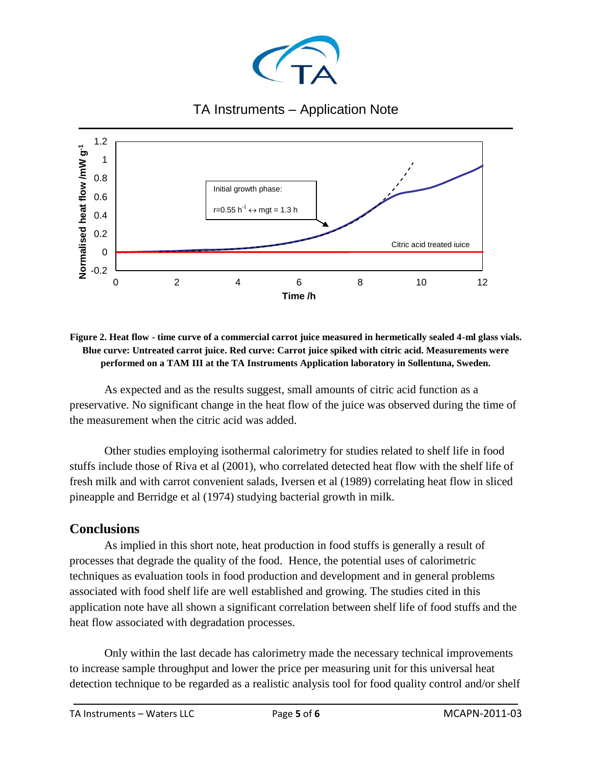

# TA Instruments – Application Note



**Figure 2. Heat flow - time curve of a commercial carrot juice measured in hermetically sealed 4-ml glass vials. Blue curve: Untreated carrot juice. Red curve: Carrot juice spiked with citric acid. Measurements were performed on a TAM III at the TA Instruments Application laboratory in Sollentuna, Sweden.**

As expected and as the results suggest, small amounts of citric acid function as a preservative. No significant change in the heat flow of the juice was observed during the time of the measurement when the citric acid was added.

Other studies employing isothermal calorimetry for studies related to shelf life in food stuffs include those of Riva et al (2001), who correlated detected heat flow with the shelf life of fresh milk and with carrot convenient salads, Iversen et al (1989) correlating heat flow in sliced pineapple and Berridge et al (1974) studying bacterial growth in milk.

### **Conclusions**

As implied in this short note, heat production in food stuffs is generally a result of processes that degrade the quality of the food. Hence, the potential uses of calorimetric techniques as evaluation tools in food production and development and in general problems associated with food shelf life are well established and growing. The studies cited in this application note have all shown a significant correlation between shelf life of food stuffs and the heat flow associated with degradation processes.

Only within the last decade has calorimetry made the necessary technical improvements to increase sample throughput and lower the price per measuring unit for this universal heat detection technique to be regarded as a realistic analysis tool for food quality control and/or shelf